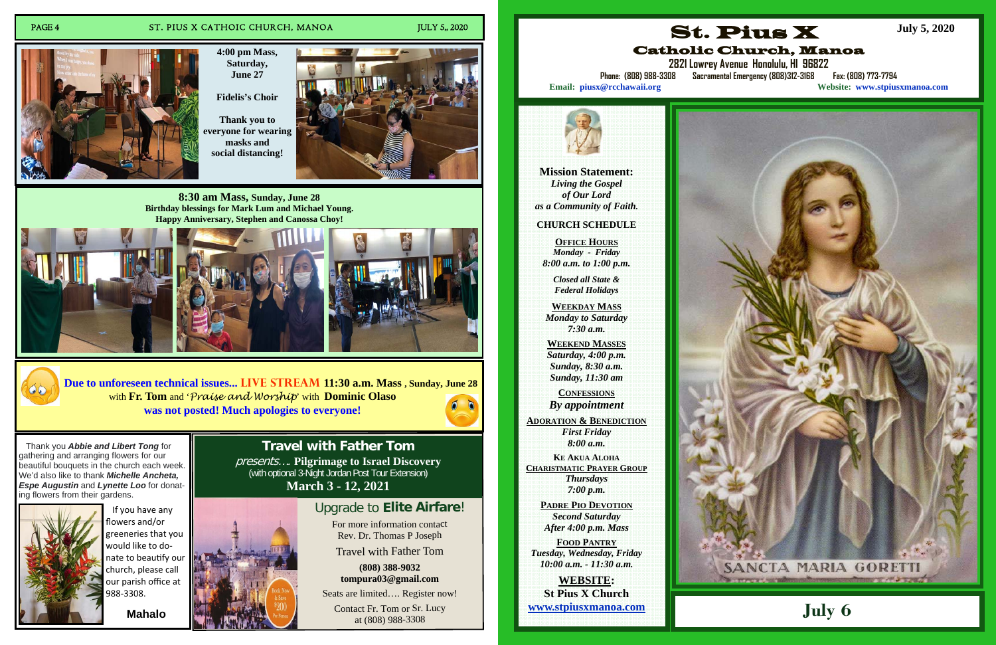### PAGE 4 ST. PIUS X CATHOIC CHURCH, MANOA JULY 5,, 2020

For more information contact R e v. Dr. T h o m as P Jose p h

Travel with Father Tom

Contact Fr. Tom or Sr. Lucy at (8 0 8) 9 8 8-3 3 0 8

**(8 08) 3 88-9032to m p u r a 0 3 @ g m ail.c o m**

Seats are limited.... Register now!

**Travel with Father Tom** presents…. **Pilgrimage to Israel Discovery**  (with optional 3-Night Jordan Post Tour Extension) **March 3 - 12, 2021** 

### Upgrade to **Elite Airfare**!

**4:00 pm Mass, Saturday, June 27** 

**Fidelis's Choir** 

**Thank you to everyone for wearing masks and social distancing!** 



**8:30 am Mass, Sunday, June 28 Birthday blessings for Mark Lum and Michael Young. Happy Anniversary, Stephen and Canossa Choy!** 





**Due to unforeseen technical issues... Live Stream 11:30 a.m. Mass , Sunday, June 28**  with **Fr. Tom** and '*Praise and Worship*' with **Dominic Olaso was not posted! Much apologies to everyone!**





If you have any flowers and/or greeneries that you would like to do‐ nate to beautify our church, please call our parish o ffice at 988‐3308. **Mahalo** 

**Mission Statement:**  *Living the Gospel of Our Lord as a Community of Faith.* 

### **CHURCH SCHEDULE**

**OFFICE HOURS** *Monday - Friday 8:00 a.m. to 1:00 p.m.* 

> *Closed all State & Federal Holidays*

**WEEKDAY MASS**  *Monday to Saturday 7:30 a.m.* 

**WEEKEND MASSES**  *Saturday, 4:00 p.m. Sunday, 8:30 a.m. Sunday, 11:30 am* 

**CONFESSIONS***By appointment* 

**ADORATION & BENEDICTION** *First Friday 8:00 a.m.* 

**KE AKUA ALOHACHARISTMATIC PRAYER GROUP***Thursdays 7:00 p.m.* 

> **PADRE PIO DEVOTION***Second Saturday After 4:00 p.m. Mass*

**FOOD PANTRY***Tuesday, Wednesday, Friday 10:00 a.m. - 11:30 a.m.* 

**WEBSITE: St Pius X Church www.stpiusxmanoa.com** 



# Catholic Church, Manoa



**2821 Lowrey Avenue Honolulu, HI 96822** 

**Phone: (808) 988-3308 Sacramental Emergency (808)312-3168 Fax: (808) 773-7794 Email: piusx@rcchawaii.org Website: www.stpiusxmanoa.com**



**July 5, 2020**